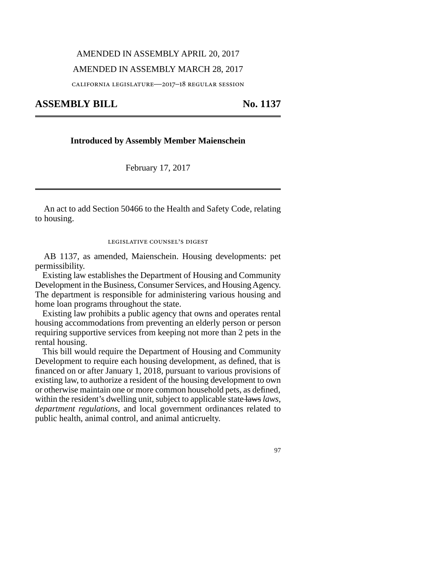## AMENDED IN ASSEMBLY APRIL 20, 2017

### AMENDED IN ASSEMBLY MARCH 28, 2017

california legislature—2017–18 regular session

**ASSEMBLY BILL No. 1137** 

### **Introduced by Assembly Member Maienschein**

February 17, 2017

An act to add Section 50466 to the Health and Safety Code, relating to housing.

#### legislative counsel's digest

AB 1137, as amended, Maienschein. Housing developments: pet permissibility.

Existing law establishes the Department of Housing and Community Development in the Business, Consumer Services, and Housing Agency. The department is responsible for administering various housing and home loan programs throughout the state.

Existing law prohibits a public agency that owns and operates rental housing accommodations from preventing an elderly person or person requiring supportive services from keeping not more than 2 pets in the rental housing.

This bill would require the Department of Housing and Community Development to require each housing development, as defined, that is financed on or after January 1, 2018, pursuant to various provisions of existing law, to authorize a resident of the housing development to own or otherwise maintain one or more common household pets, as defined, within the resident's dwelling unit, subject to applicable state laws *laws, department regulations,* and local government ordinances related to public health, animal control, and animal anticruelty.

97